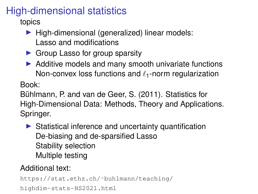## High-dimensional statistics

topics

- $\blacktriangleright$  High-dimensional (generalized) linear models: Lasso and modifications
- $\triangleright$  Group Lasso for group sparsity
- $\triangleright$  Additive models and many smooth univariate functions Non-convex loss functions and  $\ell_1$ -norm regularization

Book:

Bühlmann, P. and van de Geer, S. (2011). Statistics for High-Dimensional Data: Methods, Theory and Applications. Springer.

 $\triangleright$  Statistical inference and uncertainty quantification De-biasing and de-sparsified Lasso Stability selection Multiple testing

## Additional text:

```
https://stat.ethz.ch/˜buhlmann/teaching/
highdim-stats-HS2021.html
```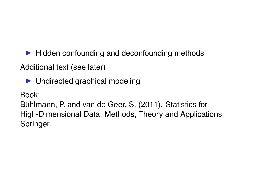$\blacktriangleright$  Hidden confounding and deconfounding methods

Additional text (see later)

 $\blacktriangleright$  Undirected graphical modeling

Book:

Buhlmann, P. and van de Geer, S. (2011). Statistics for ¨ High-Dimensional Data: Methods, Theory and Applications. Springer.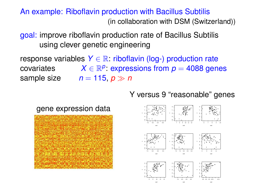## An example: Riboflavin production with Bacillus Subtilis (in collaboration with DSM (Switzerland))

goal: improve riboflavin production rate of Bacillus Subtilis using clever genetic engineering

response variables  $Y \in \mathbb{R}$ : riboflavin (log-) production rate covariates  $P$ : expressions from  $p = 4088$  genes sample size  $n = 115$ ,  $p \gg n$ 

Y versus 9 "reasonable" genes